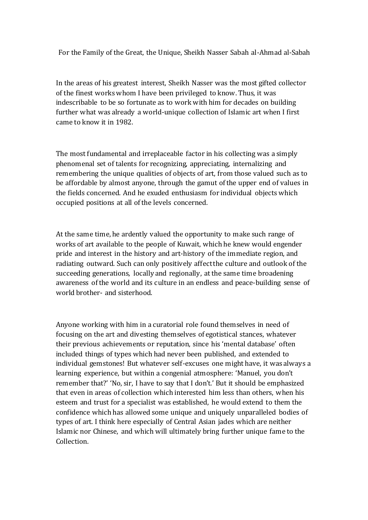For the Family of the Great, the Unique, Sheikh Nasser Sabah al-Ahmad al-Sabah

In the areas of his greatest interest, Sheikh Nasser was the most gifted collector of the finest works whom I have been privileged to know. Thus, it was indescribable to be so fortunate as to work with him for decades on building further what was already a world-unique collection of Islamic art when I first came to know it in 1982.

The most fundamental and irreplaceable factor in his collecting was a simply phenomenal set of talents for recognizing, appreciating, internalizing and remembering the unique qualities of objects of art, from those valued such as to be affordable by almost anyone, through the gamut of the upper end of values in the fields concerned. And he exuded enthusiasm for individual objects which occupied positions at all of the levels concerned.

At the same time, he ardently valued the opportunity to make such range of works of art available to the people of Kuwait, which he knew would engender pride and interest in the history and art-history of the immediate region, and radiating outward. Such can only positively affect the culture and outlook of the succeeding generations, locally and regionally, at the same time broadening awareness of the world and its culture in an endless and peace-building sense of world brother- and sisterhood.

Anyone working with him in a curatorial role found themselves in need of focusing on the art and divesting themselves of egotistical stances, whatever their previous achievements or reputation, since his 'mental database' often included things of types which had never been published, and extended to individual gemstones! But whatever self-excuses one might have, it was always a learning experience, but within a congenial atmosphere: 'Manuel, you don't remember that?' 'No, sir, I have to say that I don't.' But it should be emphasized that even in areas of collection which interested him less than others, when his esteem and trust for a specialist was established, he would extend to them the confidence which has allowed some unique and uniquely unparalleled bodies of types of art. I think here especially of Central Asian jades which are neither Islamic nor Chinese, and which will ultimately bring further unique fame to the Collection.